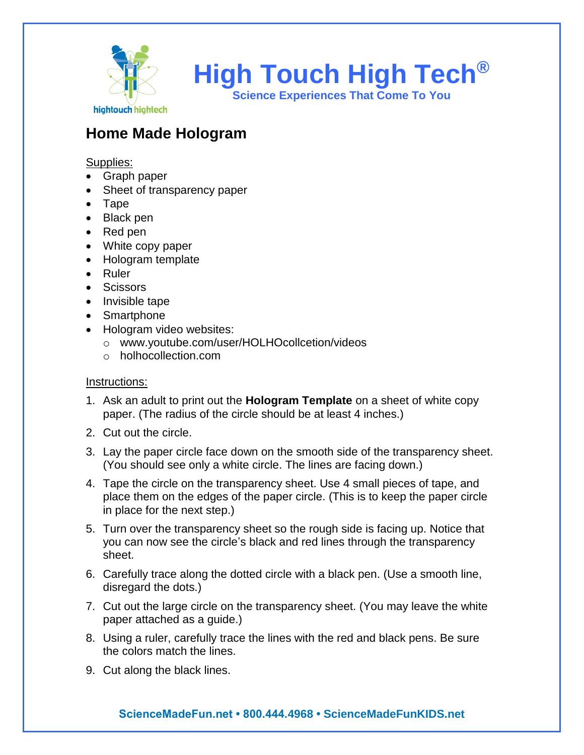

## **Home Made Hologram**

Supplies:

- Graph paper
- Sheet of transparency paper
- Tape
- Black pen
- Red pen
- White copy paper
- Hologram template
- Ruler
- Scissors
- Invisible tape
- Smartphone
- Hologram video websites:
	- o www.youtube.com/user/HOLHOcollcetion/videos
	- o holhocollection.com

#### Instructions:

- 1. Ask an adult to print out the **Hologram Template** on a sheet of white copy paper. (The radius of the circle should be at least 4 inches.)
- 2. Cut out the circle.
- 3. Lay the paper circle face down on the smooth side of the transparency sheet. (You should see only a white circle. The lines are facing down.)
- 4. Tape the circle on the transparency sheet. Use 4 small pieces of tape, and place them on the edges of the paper circle. (This is to keep the paper circle in place for the next step.)
- 5. Turn over the transparency sheet so the rough side is facing up. Notice that you can now see the circle's black and red lines through the transparency sheet.
- 6. Carefully trace along the dotted circle with a black pen. (Use a smooth line, disregard the dots.)
- 7. Cut out the large circle on the transparency sheet. (You may leave the white paper attached as a guide.)
- 8. Using a ruler, carefully trace the lines with the red and black pens. Be sure the colors match the lines.
- 9. Cut along the black lines.

### **ScienceMadeFun.net • 800.444.4968 • ScienceMadeFunKIDS.net**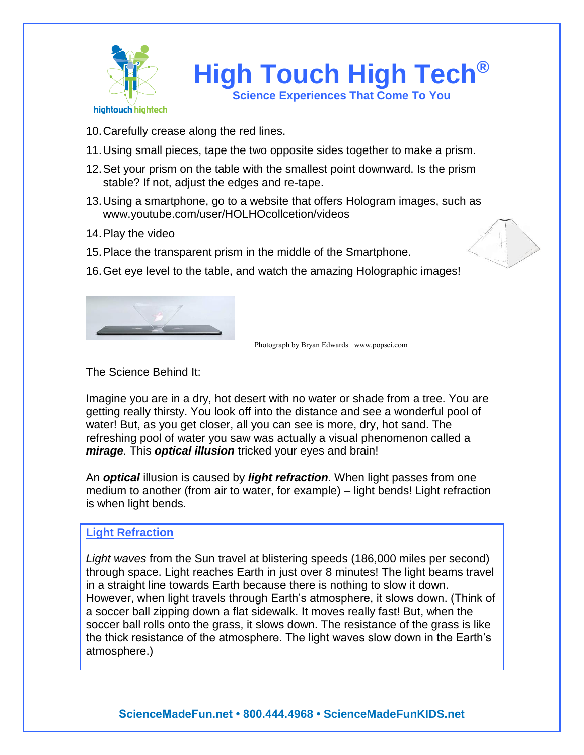

**High Touch High Tech® Science Experiences That Come To You**

- 10.Carefully crease along the red lines.
- 11.Using small pieces, tape the two opposite sides together to make a prism.
- 12.Set your prism on the table with the smallest point downward. Is the prism stable? If not, adjust the edges and re-tape.
- 13.Using a smartphone, go to a website that offers Hologram images, such as www.youtube.com/user/HOLHOcollcetion/videos
- 14.Play the video
- 15.Place the transparent prism in the middle of the Smartphone.
- 16.Get eye level to the table, and watch the amazing Holographic images!



Photograph by Bryan Edwards www.popsci.com

#### The Science Behind It:

Imagine you are in a dry, hot desert with no water or shade from a tree. You are getting really thirsty. You look off into the distance and see a wonderful pool of water! But, as you get closer, all you can see is more, dry, hot sand. The refreshing pool of water you saw was actually a visual phenomenon called a *mirage.* This *optical illusion* tricked your eyes and brain!

An *optical* illusion is caused by *light refraction*. When light passes from one medium to another (from air to water, for example) – light bends! Light refraction is when light bends.

#### **Light Refraction**

*Light waves* from the Sun travel at blistering speeds (186,000 miles per second) through space. Light reaches Earth in just over 8 minutes! The light beams travel in a straight line towards Earth because there is nothing to slow it down. However, when light travels through Earth's atmosphere, it slows down. (Think of a soccer ball zipping down a flat sidewalk. It moves really fast! But, when the soccer ball rolls onto the grass, it slows down. The resistance of the grass is like the thick resistance of the atmosphere. The light waves slow down in the Earth's atmosphere.)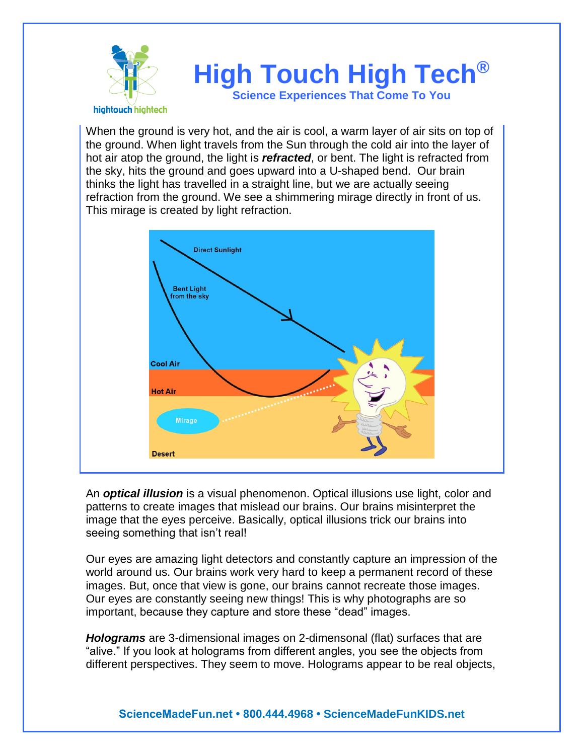

When the ground is very hot, and the air is cool, a warm layer of air sits on top of the ground. When light travels from the Sun through the cold air into the layer of hot air atop the ground, the light is *refracted*, or bent. The light is refracted from the sky, hits the ground and goes upward into a U-shaped bend. Our brain thinks the light has travelled in a straight line, but we are actually seeing refraction from the ground. We see a shimmering mirage directly in front of us. This mirage is created by light refraction.



An *optical illusion* is a visual phenomenon. Optical illusions use light, color and patterns to create images that mislead our brains. Our brains misinterpret the image that the eyes perceive. Basically, optical illusions trick our brains into seeing something that isn't real!

Our eyes are amazing light detectors and constantly capture an impression of the world around us. Our brains work very hard to keep a permanent record of these images. But, once that view is gone, our brains cannot recreate those images. Our eyes are constantly seeing new things! This is why photographs are so important, because they capture and store these "dead" images.

*Holograms* are 3-dimensional images on 2-dimensonal (flat) surfaces that are "alive." If you look at holograms from different angles, you see the objects from different perspectives. They seem to move. Holograms appear to be real objects,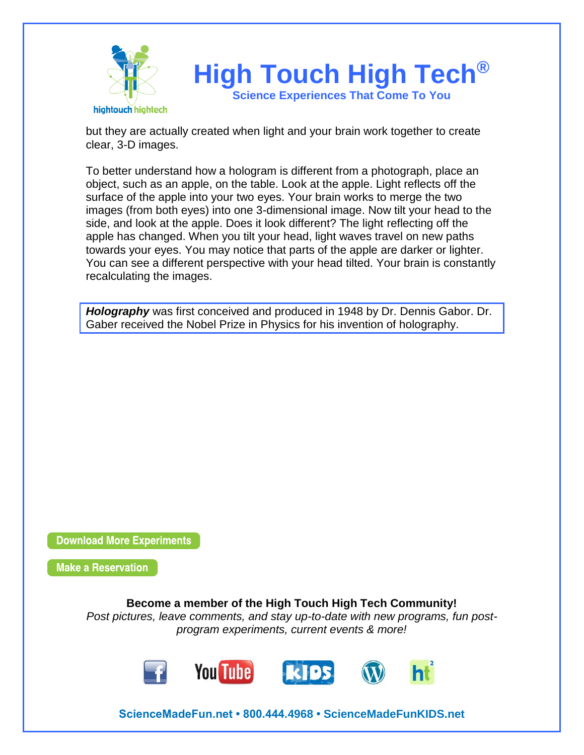

but they are actually created when light and your brain work together to create clear, 3-D images.

To better understand how a hologram is different from a photograph, place an object, such as an apple, on the table. Look at the apple. Light reflects off the surface of the apple into your two eyes. Your brain works to merge the two images (from both eyes) into one 3-dimensional image. Now tilt your head to the side, and look at the apple. Does it look different? The light reflecting off the apple has changed. When you tilt your head, light waves travel on new paths towards your eyes. You may notice that parts of the apple are darker or lighter. You can see a different perspective with your head tilted. Your brain is constantly recalculating the images.

*Holography* was first conceived and produced in 1948 by Dr. Dennis Gabor. Dr. Gaber received the Nobel Prize in Physics for his invention of holography.

**Download More Experiments** 

**Make a Reservation** 

**Become a member of the High Touch High Tech Community!**

*Post pictures, leave comments, and stay up-to-date with new programs, fun postprogram experiments, current events & more!*



**ScienceMadeFun.net • 800.444.4968 • ScienceMadeFunKIDS.net**